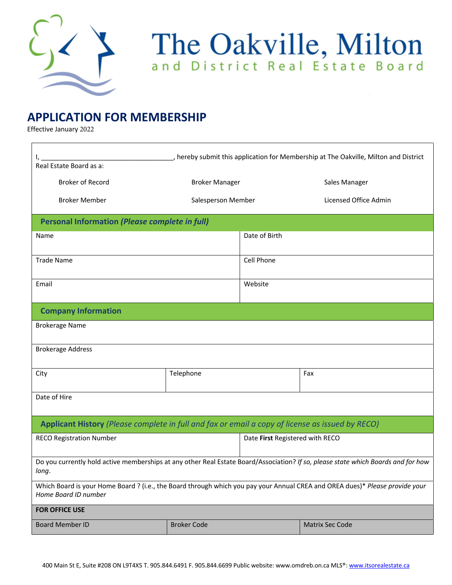

## The Oakville, Milton

## **APPLICATION FOR MEMBERSHIP**

Effective January 2022

| , hereby submit this application for Membership at The Oakville, Milton and District<br>Real Estate Board as a:                                      |                       |                                 |                       |  |  |  |
|------------------------------------------------------------------------------------------------------------------------------------------------------|-----------------------|---------------------------------|-----------------------|--|--|--|
| <b>Broker of Record</b>                                                                                                                              | <b>Broker Manager</b> |                                 | Sales Manager         |  |  |  |
| <b>Broker Member</b>                                                                                                                                 | Salesperson Member    |                                 | Licensed Office Admin |  |  |  |
| <b>Personal Information (Please complete in full)</b>                                                                                                |                       |                                 |                       |  |  |  |
| Name                                                                                                                                                 |                       |                                 | Date of Birth         |  |  |  |
| <b>Trade Name</b>                                                                                                                                    |                       | Cell Phone                      |                       |  |  |  |
| Email                                                                                                                                                |                       |                                 | Website               |  |  |  |
| <b>Company Information</b>                                                                                                                           |                       |                                 |                       |  |  |  |
| <b>Brokerage Name</b>                                                                                                                                |                       |                                 |                       |  |  |  |
| <b>Brokerage Address</b>                                                                                                                             |                       |                                 |                       |  |  |  |
| City                                                                                                                                                 | Telephone             |                                 | Fax                   |  |  |  |
| Date of Hire                                                                                                                                         |                       |                                 |                       |  |  |  |
| Applicant History (Please complete in full and fax or email a copy of license as issued by RECO)                                                     |                       |                                 |                       |  |  |  |
| <b>RECO Registration Number</b>                                                                                                                      |                       | Date First Registered with RECO |                       |  |  |  |
| Do you currently hold active memberships at any other Real Estate Board/Association? If so, please state which Boards and for how<br>long.           |                       |                                 |                       |  |  |  |
| Which Board is your Home Board ? (i.e., the Board through which you pay your Annual CREA and OREA dues)* Please provide your<br>Home Board ID number |                       |                                 |                       |  |  |  |
| <b>FOR OFFICE USE</b>                                                                                                                                |                       |                                 |                       |  |  |  |
| <b>Board Member ID</b>                                                                                                                               | <b>Broker Code</b>    |                                 | Matrix Sec Code       |  |  |  |